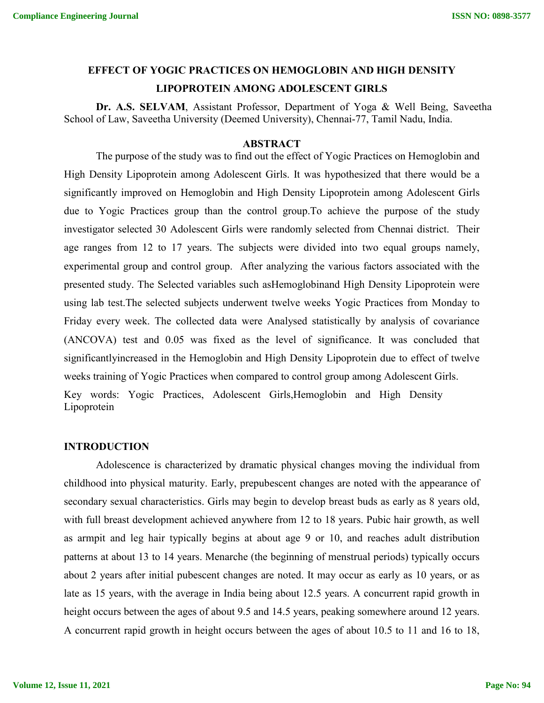# **EFFECT OF YOGIC PRACTICES ON HEMOGLOBIN AND HIGH DENSITY LIPOPROTEIN AMONG ADOLESCENT GIRLS**

**Dr. A.S. SELVAM**, Assistant Professor, Department of Yoga & Well Being, Saveetha School of Law, Saveetha University (Deemed University), Chennai-77, Tamil Nadu, India.

#### **ABSTRACT**

The purpose of the study was to find out the effect of Yogic Practices on Hemoglobin and High Density Lipoprotein among Adolescent Girls. It was hypothesized that there would be a significantly improved on Hemoglobin and High Density Lipoprotein among Adolescent Girls due to Yogic Practices group than the control group.To achieve the purpose of the study investigator selected 30 Adolescent Girls were randomly selected from Chennai district. Their age ranges from 12 to 17 years. The subjects were divided into two equal groups namely, experimental group and control group. After analyzing the various factors associated with the presented study. The Selected variables such asHemoglobinand High Density Lipoprotein were using lab test.The selected subjects underwent twelve weeks Yogic Practices from Monday to Friday every week. The collected data were Analysed statistically by analysis of covariance (ANCOVA) test and 0.05 was fixed as the level of significance. It was concluded that significantlyincreased in the Hemoglobin and High Density Lipoprotein due to effect of twelve weeks training of Yogic Practices when compared to control group among Adolescent Girls. Key words: Yogic Practices, Adolescent Girls,Hemoglobin and High Density Lipoprotein

#### **INTRODUCTION**

Adolescence is characterized by dramatic physical changes moving the individual from childhood into physical maturity. Early, prepubescent changes are noted with the appearance of secondary sexual characteristics. Girls may begin to develop breast buds as early as 8 years old, with full breast development achieved anywhere from 12 to 18 years. Pubic hair growth, as well as armpit and leg hair typically begins at about age 9 or 10, and reaches adult distribution patterns at about 13 to 14 years. Menarche (the beginning of menstrual periods) typically occurs about 2 years after initial pubescent changes are noted. It may occur as early as 10 years, or as late as 15 years, with the average in India being about 12.5 years. A concurrent rapid growth in height occurs between the ages of about 9.5 and 14.5 years, peaking somewhere around 12 years. A concurrent rapid growth in height occurs between the ages of about 10.5 to 11 and 16 to 18,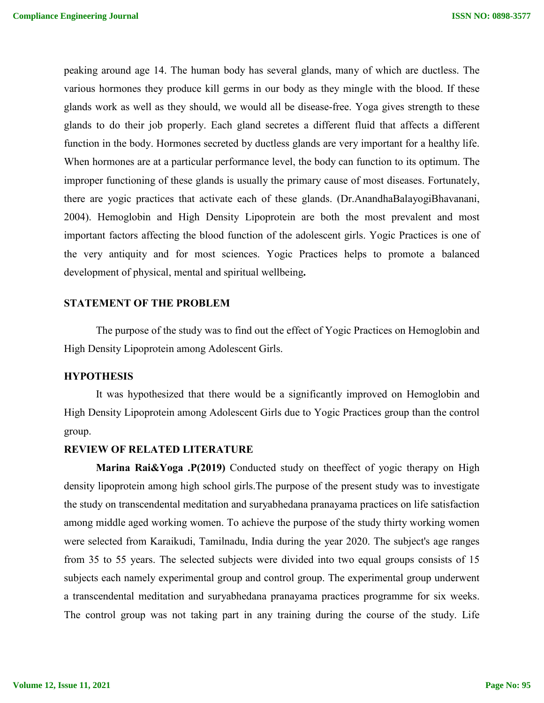peaking around age 14. The human body has several glands, many of which are ductless. The various hormones they produce kill germs in our body as they mingle with the blood. If these glands work as well as they should, we would all be disease-free. Yoga gives strength to these glands to do their job properly. Each gland secretes a different fluid that affects a different function in the body. Hormones secreted by ductless glands are very important for a healthy life. When hormones are at a particular performance level, the body can function to its optimum. The improper functioning of these glands is usually the primary cause of most diseases. Fortunately, there are yogic practices that activate each of these glands. (Dr.AnandhaBalayogiBhavanani, 2004). Hemoglobin and High Density Lipoprotein are both the most prevalent and most important factors affecting the blood function of the adolescent girls. Yogic Practices is one of the very antiquity and for most sciences. Yogic Practices helps to promote a balanced development of physical, mental and spiritual wellbeing**.**

#### **STATEMENT OF THE PROBLEM**

The purpose of the study was to find out the effect of Yogic Practices on Hemoglobin and High Density Lipoprotein among Adolescent Girls.

#### **HYPOTHESIS**

It was hypothesized that there would be a significantly improved on Hemoglobin and High Density Lipoprotein among Adolescent Girls due to Yogic Practices group than the control group.

#### **REVIEW OF RELATED LITERATURE**

**Marina Rai&Yoga .P(2019)** Conducted study on theeffect of yogic therapy on High density lipoprotein among high school girls.The purpose of the present study was to investigate the study on transcendental meditation and suryabhedana pranayama practices on life satisfaction among middle aged working women. To achieve the purpose of the study thirty working women were selected from Karaikudi, Tamilnadu, India during the year 2020. The subject's age ranges from 35 to 55 years. The selected subjects were divided into two equal groups consists of 15 subjects each namely experimental group and control group. The experimental group underwent a transcendental meditation and suryabhedana pranayama practices programme for six weeks. The control group was not taking part in any training during the course of the study. Life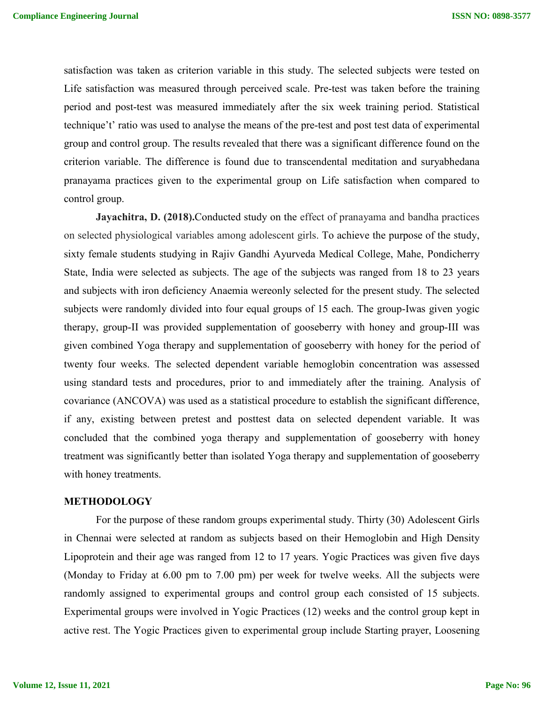satisfaction was taken as criterion variable in this study. The selected subjects were tested on Life satisfaction was measured through perceived scale. Pre-test was taken before the training period and post-test was measured immediately after the six week training period. Statistical technique't' ratio was used to analyse the means of the pre-test and post test data of experimental group and control group. The results revealed that there was a significant difference found on the criterion variable. The difference is found due to transcendental meditation and suryabhedana pranayama practices given to the experimental group on Life satisfaction when compared to control group.

**Jayachitra, D. (2018).**Conducted study on the effect of pranayama and bandha practices on selected physiological variables among adolescent girls. To achieve the purpose of the study, sixty female students studying in Rajiv Gandhi Ayurveda Medical College, Mahe, Pondicherry State, India were selected as subjects. The age of the subjects was ranged from 18 to 23 years and subjects with iron deficiency Anaemia wereonly selected for the present study. The selected subjects were randomly divided into four equal groups of 15 each. The group-Iwas given yogic therapy, group-II was provided supplementation of gooseberry with honey and group-III was given combined Yoga therapy and supplementation of gooseberry with honey for the period of twenty four weeks. The selected dependent variable hemoglobin concentration was assessed using standard tests and procedures, prior to and immediately after the training. Analysis of covariance (ANCOVA) was used as a statistical procedure to establish the significant difference, if any, existing between pretest and posttest data on selected dependent variable. It was concluded that the combined yoga therapy and supplementation of gooseberry with honey treatment was significantly better than isolated Yoga therapy and supplementation of gooseberry with honey treatments.

#### **METHODOLOGY**

For the purpose of these random groups experimental study. Thirty (30) Adolescent Girls in Chennai were selected at random as subjects based on their Hemoglobin and High Density Lipoprotein and their age was ranged from 12 to 17 years. Yogic Practices was given five days (Monday to Friday at 6.00 pm to 7.00 pm) per week for twelve weeks. All the subjects were randomly assigned to experimental groups and control group each consisted of 15 subjects. Experimental groups were involved in Yogic Practices (12) weeks and the control group kept in active rest. The Yogic Practices given to experimental group include Starting prayer, Loosening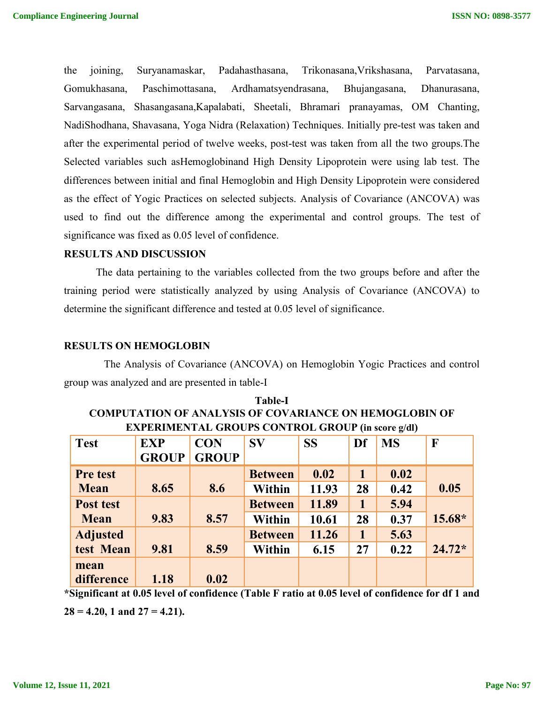the joining, Suryanamaskar, Padahasthasana, Trikonasana,Vrikshasana, Parvatasana, Gomukhasana, Paschimottasana, Ardhamatsyendrasana, Bhujangasana, Dhanurasana, Sarvangasana, Shasangasana,Kapalabati, Sheetali, Bhramari pranayamas, OM Chanting, NadiShodhana, Shavasana, Yoga Nidra (Relaxation) Techniques. Initially pre-test was taken and after the experimental period of twelve weeks, post-test was taken from all the two groups.The Selected variables such asHemoglobinand High Density Lipoprotein were using lab test. The differences between initial and final Hemoglobin and High Density Lipoprotein were considered as the effect of Yogic Practices on selected subjects. Analysis of Covariance (ANCOVA) was used to find out the difference among the experimental and control groups. The test of significance was fixed as 0.05 level of confidence.

### **RESULTS AND DISCUSSION**

The data pertaining to the variables collected from the two groups before and after the training period were statistically analyzed by using Analysis of Covariance (ANCOVA) to determine the significant difference and tested at 0.05 level of significance.

#### **RESULTS ON HEMOGLOBIN**

The Analysis of Covariance (ANCOVA) on Hemoglobin Yogic Practices and control group was analyzed and are presented in table-I

| <b>Test</b>     | <b>EXP</b>   | <b>CON</b>   | $S\mathbf{V}$  | <b>SS</b> | Df          | <b>MS</b> | F        |  |  |
|-----------------|--------------|--------------|----------------|-----------|-------------|-----------|----------|--|--|
|                 | <b>GROUP</b> | <b>GROUP</b> |                |           |             |           |          |  |  |
| Pre test        |              |              | <b>Between</b> | 0.02      | $\mathbf 1$ | 0.02      |          |  |  |
| <b>Mean</b>     | 8.65         | 8.6          | <b>Within</b>  | 11.93     | 28          | 0.42      | 0.05     |  |  |
| Post test       |              |              | <b>Between</b> | 11.89     | 1           | 5.94      |          |  |  |
| <b>Mean</b>     | 9.83         | 8.57         | <b>Within</b>  | 10.61     | 28          | 0.37      | 15.68*   |  |  |
| <b>Adjusted</b> |              |              | <b>Between</b> | 11.26     | $\mathbf 1$ | 5.63      |          |  |  |
| test Mean       | 9.81         | 8.59         | <b>Within</b>  | 6.15      | 27          | 0.22      | $24.72*$ |  |  |
| mean            |              |              |                |           |             |           |          |  |  |
| difference      | 1.18         | 0.02         |                |           |             |           |          |  |  |

| <b>Table-I</b>                                                |
|---------------------------------------------------------------|
| <b>COMPUTATION OF ANALYSIS OF COVARIANCE ON HEMOGLOBIN OF</b> |
| <b>EXPERIMENTAL GROUPS CONTROL GROUP (in score g/dl)</b>      |

**\*Significant at 0.05 level of confidence (Table F ratio at 0.05 level of confidence for df 1 and**   $28 = 4.20$ , 1 and  $27 = 4.21$ ).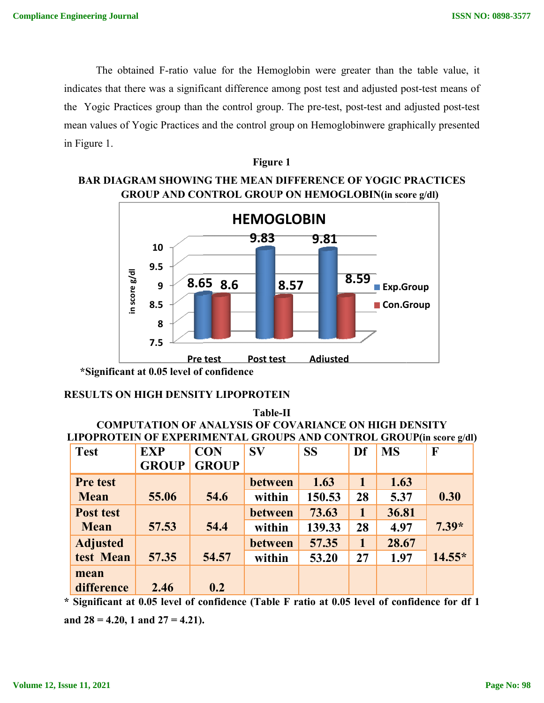The obtained F-ratio value for the Hemoglobin were greater than the table value, it indicates that there was a significant difference among post test and adjusted post-test means of the Yogic Practices group than the control group. The pre-test, post-test and adjusted post-test mean values of Yogic Practices and the control group on Hemoglobinwere graphically presented in Figure 1.



# **BAR DIAGRAM SHOWING THE MEAN DIFFERENCE OF YOGIC PRACTICES GROUP AND CONTROL GROUP ON HEMOGLOBIN(in score g/dl g/dl)**

**Figure 1**

# **RESULTS ON HIGH DENSITY LIPOPROTEIN**

# **COMPUTATION OF ANALYSIS OF COVARIANCE ON HIGH DENSITY LIPOPROTEIN OF EXPERIMENTAL GROUPS AND CONTROL GROUP GROUP(in score g/dl) Table-II**

| Ξ.                                                                                                                                  | 8<br>7.5     |              |                |                 |              |           |          |  |  |
|-------------------------------------------------------------------------------------------------------------------------------------|--------------|--------------|----------------|-----------------|--------------|-----------|----------|--|--|
|                                                                                                                                     |              | Pre test     | Post test      | <b>Adiusted</b> |              |           |          |  |  |
| *Significant at 0.05 level of confidence                                                                                            |              |              |                |                 |              |           |          |  |  |
| <b>RESULTS ON HIGH DENSITY LIPOPROTEIN</b>                                                                                          |              |              |                |                 |              |           |          |  |  |
| <b>Table-II</b>                                                                                                                     |              |              |                |                 |              |           |          |  |  |
| <b>COMPUTATION OF ANALYSIS OF COVARIANCE ON HIGH DENSITY</b><br>LIPOPROTEIN OF EXPERIMENTAL GROUPS AND CONTROL GROUP(in score g/dl) |              |              |                |                 |              |           |          |  |  |
|                                                                                                                                     |              |              |                |                 |              |           |          |  |  |
| <b>Test</b>                                                                                                                         | <b>EXP</b>   | <b>CON</b>   | $S_{V}$        | <b>SS</b>       | Df           | <b>MS</b> | F        |  |  |
|                                                                                                                                     | <b>GROUP</b> | <b>GROUP</b> |                |                 |              |           |          |  |  |
| <b>Pre test</b>                                                                                                                     |              |              | between        | 1.63            | $\mathbf{1}$ | 1.63      |          |  |  |
| <b>Mean</b>                                                                                                                         | 55.06        | 54.6         | within         | 150.53          | 28           | 5.37      | 0.30     |  |  |
| Post test                                                                                                                           |              |              | <b>between</b> | 73.63           | $\mathbf{1}$ | 36.81     |          |  |  |
| <b>Mean</b>                                                                                                                         | 57.53        | 54.4         | within         | 139.33          | 28           | 4.97      | $7.39*$  |  |  |
| <b>Adjusted</b>                                                                                                                     |              |              | between        | 57.35           | $\mathbf{1}$ | 28.67     |          |  |  |
| test Mean                                                                                                                           | 57.35        | 54.57        | within         | 53.20           | 27           | 1.97      | $14.55*$ |  |  |
| mean                                                                                                                                |              |              |                |                 |              |           |          |  |  |
| difference                                                                                                                          | 2.46         | 0.2          |                |                 |              |           |          |  |  |
| Significant at 0.05 level of confidence (Table F ratio at 0.05 level of confidence for df                                           |              |              |                |                 |              |           |          |  |  |

**\* Significant at 0.05 level of confidence (Table F ratio at 0.05 level of confidence for df 1 and 28 = 4.20, 1 and 27 = 4.21).**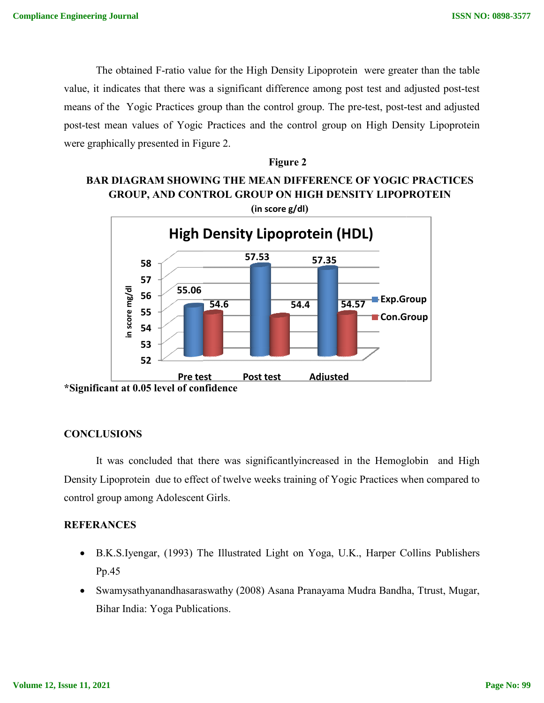The obtained F-ratio value for the High Density Lipoprotein were greater than the table The obtained F-ratio value for the High Density Lipoprotein were greater than the table<br>value, it indicates that there was a significant difference among post test and adjusted post-test means of the Yogic Practices group than the control group. The pre-test, post-test and adjusted post-test mean values of Yogic Practices and the control group on High Density Lipoprotein were graphically presented in Figure 2.

**Figure 2**



**\*Significant at 0.05 level of confidence**

## **CONCLUSIONS**

It was concluded that there was significantlyincreased in the Hemoglobin and High Density Lipoprotein due to effect of twelve weeks training of Yogic Practices when compared to control group among Adolescent Girls.

## **REFERANCES**

- B.K.S.Iyengar, (1993) The Illustrated Light on Yoga, U.K., Harper Collins Publishers Pp.45
- Swamysathyanandhasaraswathy (2008) Asana Pranayama Mudra Bandha, Ttrust, Mugar, Bihar India: Yoga Publications.